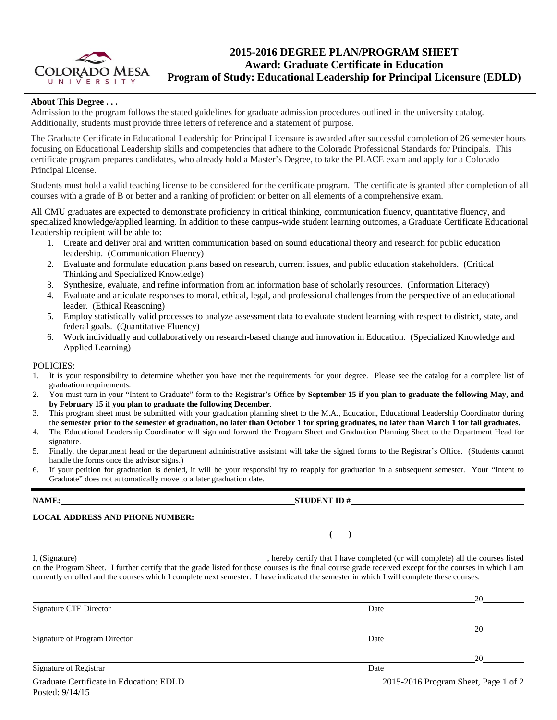

# **2015-2016 DEGREE PLAN/PROGRAM SHEET Award: Graduate Certificate in Education Program of Study: Educational Leadership for Principal Licensure (EDLD)**

### **About This Degree . . .**

Admission to the program follows the stated guidelines for graduate admission procedures outlined in the university catalog. Additionally, students must provide three letters of reference and a statement of purpose.

The Graduate Certificate in Educational Leadership for Principal Licensure is awarded after successful completion of 26 semester hours focusing on Educational Leadership skills and competencies that adhere to the Colorado Professional Standards for Principals. This certificate program prepares candidates, who already hold a Master's Degree, to take the PLACE exam and apply for a Colorado Principal License.

Students must hold a valid teaching license to be considered for the certificate program. The certificate is granted after completion of all courses with a grade of B or better and a ranking of proficient or better on all elements of a comprehensive exam.

All CMU graduates are expected to demonstrate proficiency in critical thinking, communication fluency, quantitative fluency, and specialized knowledge/applied learning. In addition to these campus-wide student learning outcomes, a Graduate Certificate Educational Leadership recipient will be able to:

- 1. Create and deliver oral and written communication based on sound educational theory and research for public education leadership. (Communication Fluency)
- 2. Evaluate and formulate education plans based on research, current issues, and public education stakeholders. (Critical Thinking and Specialized Knowledge)
- 3. Synthesize, evaluate, and refine information from an information base of scholarly resources. (Information Literacy)
- 4. Evaluate and articulate responses to moral, ethical, legal, and professional challenges from the perspective of an educational leader. (Ethical Reasoning)
- 5. Employ statistically valid processes to analyze assessment data to evaluate student learning with respect to district, state, and federal goals. (Quantitative Fluency)
- 6. Work individually and collaboratively on research-based change and innovation in Education. (Specialized Knowledge and Applied Learning)

### POLICIES:

- 1. It is your responsibility to determine whether you have met the requirements for your degree. Please see the catalog for a complete list of graduation requirements.
- 2. You must turn in your "Intent to Graduate" form to the Registrar's Office **by September 15 if you plan to graduate the following May, and by February 15 if you plan to graduate the following December**.
- 3. This program sheet must be submitted with your graduation planning sheet to the M.A., Education, Educational Leadership Coordinator during the **semester prior to the semester of graduation, no later than October 1 for spring graduates, no later than March 1 for fall graduates.**
- 4. The Educational Leadership Coordinator will sign and forward the Program Sheet and Graduation Planning Sheet to the Department Head for signature.
- 5. Finally, the department head or the department administrative assistant will take the signed forms to the Registrar's Office. (Students cannot handle the forms once the advisor signs.)
- 6. If your petition for graduation is denied, it will be your responsibility to reapply for graduation in a subsequent semester. Your "Intent to Graduate" does not automatically move to a later graduation date.

| NAME:<br><u> 1989 - John Stein, Amerikaansk politiker (</u> † 1920) | STUDENT ID $#$                                                                                                                                                                                                                                                                                      |    |
|---------------------------------------------------------------------|-----------------------------------------------------------------------------------------------------------------------------------------------------------------------------------------------------------------------------------------------------------------------------------------------------|----|
| <b>LOCAL ADDRESS AND PHONE NUMBER:</b>                              |                                                                                                                                                                                                                                                                                                     |    |
|                                                                     | $\overline{\phantom{a}}$                                                                                                                                                                                                                                                                            |    |
|                                                                     | on the Program Sheet. I further certify that the grade listed for those courses is the final course grade received except for the courses in which I am<br>currently enrolled and the courses which I complete next semester. I have indicated the semester in which I will complete these courses. |    |
|                                                                     |                                                                                                                                                                                                                                                                                                     |    |
| Signature CTE Director                                              | Date                                                                                                                                                                                                                                                                                                |    |
|                                                                     |                                                                                                                                                                                                                                                                                                     | 20 |

Signature of Program Director Date News, 2008. The State of Program Director Date News, 2008. Date

20